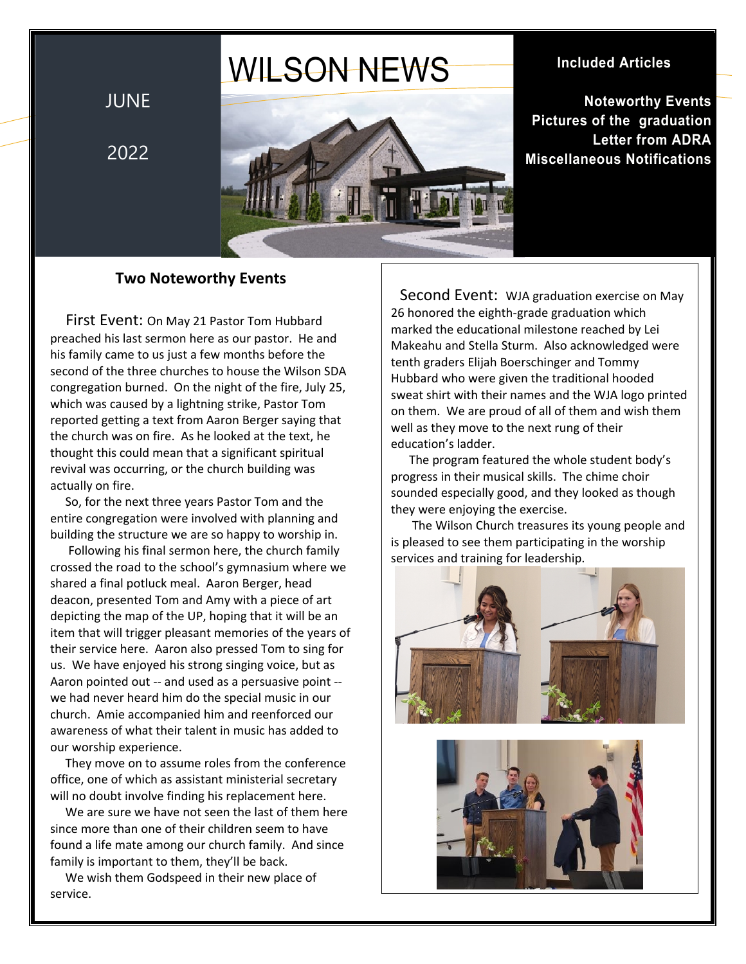# WILSON NEWS

JUNE

2022



**Included Articles**

**Noteworthy Events Pictures of the graduation Letter from ADRA Miscellaneous Notifications**

## **Two Noteworthy Events**

 First Event: On May 21 Pastor Tom Hubbard preached his last sermon here as our pastor. He and his family came to us just a few months before the second of the three churches to house the Wilson SDA congregation burned. On the night of the fire, July 25, which was caused by a lightning strike, Pastor Tom reported getting a text from Aaron Berger saying that the church was on fire. As he looked at the text, he thought this could mean that a significant spiritual revival was occurring, or the church building was actually on fire.

 So, for the next three years Pastor Tom and the entire congregation were involved with planning and building the structure we are so happy to worship in.

 Following his final sermon here, the church family crossed the road to the school's gymnasium where we shared a final potluck meal. Aaron Berger, head deacon, presented Tom and Amy with a piece of art depicting the map of the UP, hoping that it will be an item that will trigger pleasant memories of the years of their service here. Aaron also pressed Tom to sing for us. We have enjoyed his strong singing voice, but as Aaron pointed out -- and used as a persuasive point - we had never heard him do the special music in our church. Amie accompanied him and reenforced our awareness of what their talent in music has added to our worship experience.

 They move on to assume roles from the conference office, one of which as assistant ministerial secretary will no doubt involve finding his replacement here.

 We are sure we have not seen the last of them here since more than one of their children seem to have found a life mate among our church family. And since family is important to them, they'll be back.

 We wish them Godspeed in their new place of service.

 Second Event: WJA graduation exercise on May 26 honored the eighth-grade graduation which marked the educational milestone reached by Lei Makeahu and Stella Sturm. Also acknowledged were tenth graders Elijah Boerschinger and Tommy Hubbard who were given the traditional hooded sweat shirt with their names and the WJA logo printed on them. We are proud of all of them and wish them well as they move to the next rung of their education's ladder.

 The program featured the whole student body's progress in their musical skills. The chime choir sounded especially good, and they looked as though they were enjoying the exercise.

 The Wilson Church treasures its young people and is pleased to see them participating in the worship services and training for leadership.

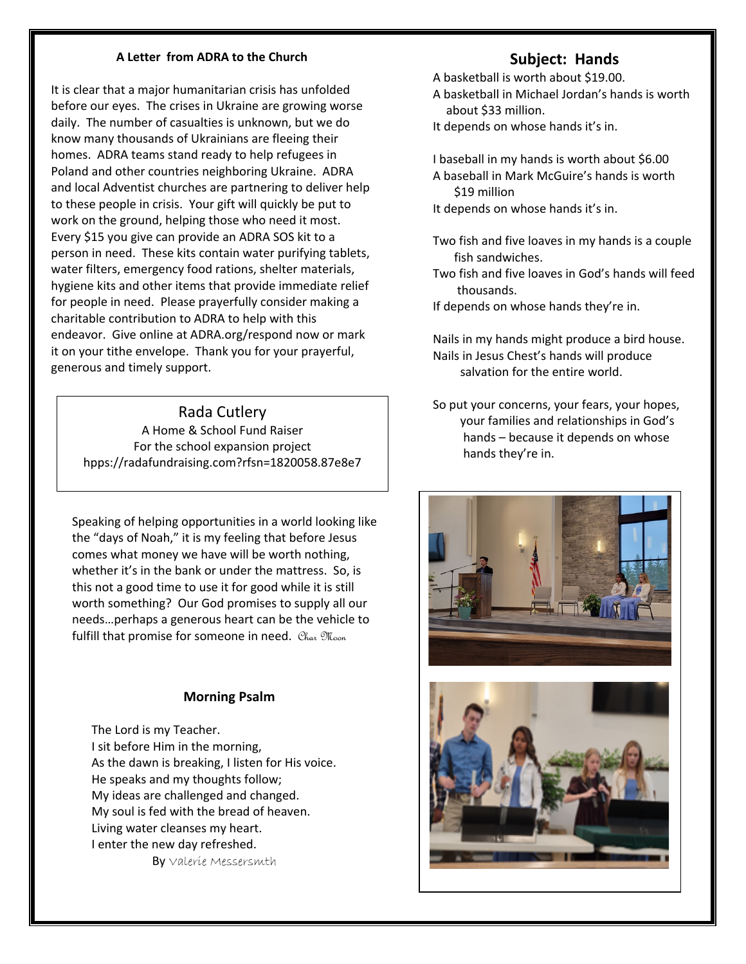#### **A Letter from ADRA to the Church**

It is clear that a major humanitarian crisis has unfolded before our eyes. The crises in Ukraine are growing worse daily. The number of casualties is unknown, but we do know many thousands of Ukrainians are fleeing their homes. ADRA teams stand ready to help refugees in Poland and other countries neighboring Ukraine. ADRA and local Adventist churches are partnering to deliver help to these people in crisis. Your gift will quickly be put to work on the ground, helping those who need it most. Every \$15 you give can provide an ADRA SOS kit to a person in need. These kits contain water purifying tablets, water filters, emergency food rations, shelter materials, hygiene kits and other items that provide immediate relief for people in need. Please prayerfully consider making a charitable contribution to ADRA to help with this endeavor. Give online at ADRA.org/respond now or mark it on your tithe envelope. Thank you for your prayerful, generous and timely support.

#### Rada Cutlery

A Home & School Fund Raiser For the school expansion project hpps://radafundraising.com?rfsn=1820058.87e8e7

Speaking of helping opportunities in a world looking like the "days of Noah," it is my feeling that before Jesus comes what money we have will be worth nothing, whether it's in the bank or under the mattress. So, is this not a good time to use it for good while it is still worth something? Our God promises to supply all our needs…perhaps a generous heart can be the vehicle to fulfill that promise for someone in need. Char Moon

#### **Morning Psalm**

 The Lord is my Teacher. I sit before Him in the morning, As the dawn is breaking, I listen for His voice. He speaks and my thoughts follow; My ideas are challenged and changed. My soul is fed with the bread of heaven. Living water cleanses my heart. I enter the new day refreshed. By Valerie Messersmth

## **Subject: Hands**

A basketball is worth about \$19.00.

- A basketball in Michael Jordan's hands is worth about \$33 million.
- It depends on whose hands it's in.
- I baseball in my hands is worth about \$6.00 A baseball in Mark McGuire's hands is worth \$19 million
- It depends on whose hands it's in.
- Two fish and five loaves in my hands is a couple fish sandwiches.
- Two fish and five loaves in God's hands will feed thousands.

If depends on whose hands they're in.

Nails in my hands might produce a bird house. Nails in Jesus Chest's hands will produce salvation for the entire world.

So put your concerns, your fears, your hopes, your families and relationships in God's hands – because it depends on whose hands they're in.